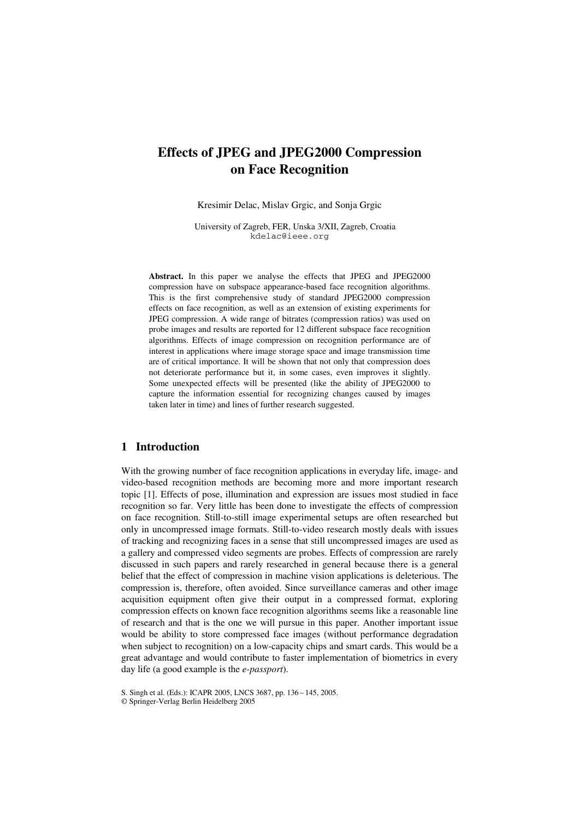# **Effects of JPEG and JPEG2000 Compression on Face Recognition**

Kresimir Delac, Mislav Grgic, and Sonja Grgic

University of Zagreb, FER, Unska 3/XII, Zagreb, Croatia kdelac@ieee.org

**Abstract.** In this paper we analyse the effects that JPEG and JPEG2000 compression have on subspace appearance-based face recognition algorithms. This is the first comprehensive study of standard JPEG2000 compression effects on face recognition, as well as an extension of existing experiments for JPEG compression. A wide range of bitrates (compression ratios) was used on probe images and results are reported for 12 different subspace face recognition algorithms. Effects of image compression on recognition performance are of interest in applications where image storage space and image transmission time are of critical importance. It will be shown that not only that compression does not deteriorate performance but it, in some cases, even improves it slightly. Some unexpected effects will be presented (like the ability of JPEG2000 to capture the information essential for recognizing changes caused by images taken later in time) and lines of further research suggested.

# **1 Introduction**

With the growing number of face recognition applications in everyday life, image- and video-based recognition methods are becoming more and more important research topic [1]. Effects of pose, illumination and expression are issues most studied in face recognition so far. Very little has been done to investigate the effects of compression on face recognition. Still-to-still image experimental setups are often researched but only in uncompressed image formats. Still-to-video research mostly deals with issues of tracking and recognizing faces in a sense that still uncompressed images are used as a gallery and compressed video segments are probes. Effects of compression are rarely discussed in such papers and rarely researched in general because there is a general belief that the effect of compression in machine vision applications is deleterious. The compression is, therefore, often avoided. Since surveillance cameras and other image acquisition equipment often give their output in a compressed format, exploring compression effects on known face recognition algorithms seems like a reasonable line of research and that is the one we will pursue in this paper. Another important issue would be ability to store compressed face images (without performance degradation when subject to recognition) on a low-capacity chips and smart cards. This would be a great advantage and would contribute to faster implementation of biometrics in every day life (a good example is the *e-passport*).

S. Singh et al. (Eds.): ICAPR 2005, LNCS 3687, pp. 136 – 145, 2005.

© Springer-Verlag Berlin Heidelberg 2005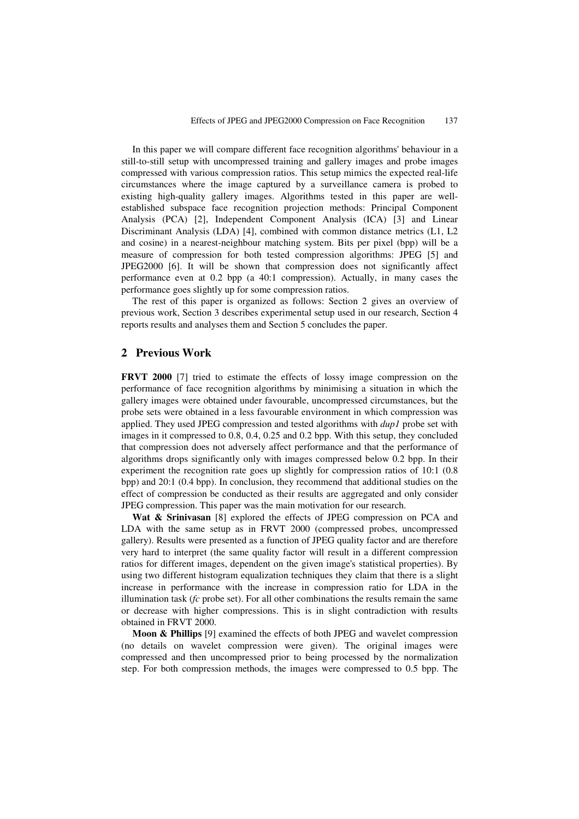In this paper we will compare different face recognition algorithms' behaviour in a still-to-still setup with uncompressed training and gallery images and probe images compressed with various compression ratios. This setup mimics the expected real-life circumstances where the image captured by a surveillance camera is probed to existing high-quality gallery images. Algorithms tested in this paper are wellestablished subspace face recognition projection methods: Principal Component Analysis (PCA) [2], Independent Component Analysis (ICA) [3] and Linear Discriminant Analysis (LDA) [4], combined with common distance metrics (L1, L2 and cosine) in a nearest-neighbour matching system. Bits per pixel (bpp) will be a measure of compression for both tested compression algorithms: JPEG [5] and JPEG2000 [6]. It will be shown that compression does not significantly affect performance even at 0.2 bpp (a 40:1 compression). Actually, in many cases the performance goes slightly up for some compression ratios.

The rest of this paper is organized as follows: Section 2 gives an overview of previous work, Section 3 describes experimental setup used in our research, Section 4 reports results and analyses them and Section 5 concludes the paper.

#### **2 Previous Work**

**FRVT 2000** [7] tried to estimate the effects of lossy image compression on the performance of face recognition algorithms by minimising a situation in which the gallery images were obtained under favourable, uncompressed circumstances, but the probe sets were obtained in a less favourable environment in which compression was applied. They used JPEG compression and tested algorithms with *dup1* probe set with images in it compressed to 0.8, 0.4, 0.25 and 0.2 bpp. With this setup, they concluded that compression does not adversely affect performance and that the performance of algorithms drops significantly only with images compressed below 0.2 bpp. In their experiment the recognition rate goes up slightly for compression ratios of 10:1 (0.8 bpp) and 20:1 (0.4 bpp). In conclusion, they recommend that additional studies on the effect of compression be conducted as their results are aggregated and only consider JPEG compression. This paper was the main motivation for our research.

**Wat & Srinivasan** [8] explored the effects of JPEG compression on PCA and LDA with the same setup as in FRVT 2000 (compressed probes, uncompressed gallery). Results were presented as a function of JPEG quality factor and are therefore very hard to interpret (the same quality factor will result in a different compression ratios for different images, dependent on the given image's statistical properties). By using two different histogram equalization techniques they claim that there is a slight increase in performance with the increase in compression ratio for LDA in the illumination task (*fc* probe set). For all other combinations the results remain the same or decrease with higher compressions. This is in slight contradiction with results obtained in FRVT 2000.

**Moon & Phillips** [9] examined the effects of both JPEG and wavelet compression (no details on wavelet compression were given). The original images were compressed and then uncompressed prior to being processed by the normalization step. For both compression methods, the images were compressed to 0.5 bpp. The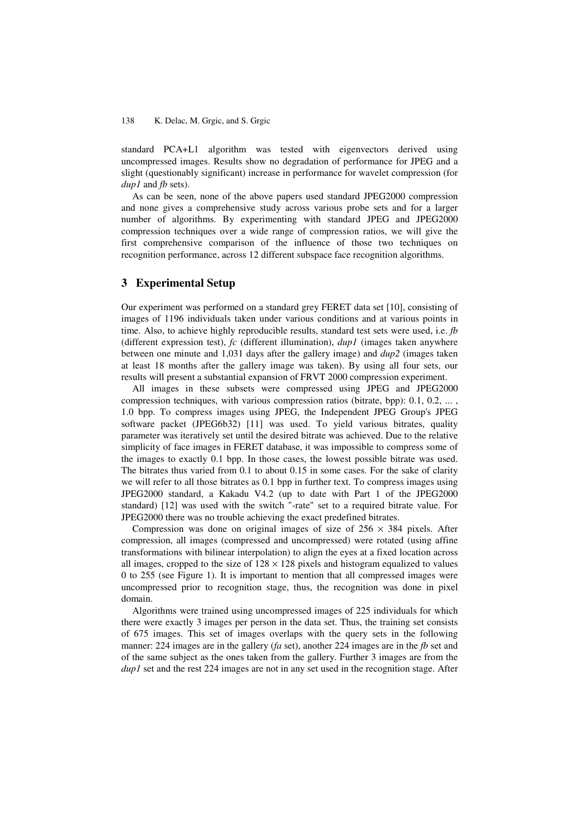standard PCA+L1 algorithm was tested with eigenvectors derived using uncompressed images. Results show no degradation of performance for JPEG and a slight (questionably significant) increase in performance for wavelet compression (for *dup1* and *fb* sets).

As can be seen, none of the above papers used standard JPEG2000 compression and none gives a comprehensive study across various probe sets and for a larger number of algorithms. By experimenting with standard JPEG and JPEG2000 compression techniques over a wide range of compression ratios, we will give the first comprehensive comparison of the influence of those two techniques on recognition performance, across 12 different subspace face recognition algorithms.

# **3 Experimental Setup**

Our experiment was performed on a standard grey FERET data set [10], consisting of images of 1196 individuals taken under various conditions and at various points in time. Also, to achieve highly reproducible results, standard test sets were used, i.e. *fb*  (different expression test), *fc* (different illumination), *dup1* (images taken anywhere between one minute and 1,031 days after the gallery image) and *dup2* (images taken at least 18 months after the gallery image was taken). By using all four sets, our results will present a substantial expansion of FRVT 2000 compression experiment.

All images in these subsets were compressed using JPEG and JPEG2000 compression techniques, with various compression ratios (bitrate, bpp):  $0.1, 0.2, ...$ , 1.0 bpp. To compress images using JPEG, the Independent JPEG Group's JPEG software packet (JPEG6b32) [11] was used. To yield various bitrates, quality parameter was iteratively set until the desired bitrate was achieved. Due to the relative simplicity of face images in FERET database, it was impossible to compress some of the images to exactly 0.1 bpp. In those cases, the lowest possible bitrate was used. The bitrates thus varied from 0.1 to about 0.15 in some cases. For the sake of clarity we will refer to all those bitrates as 0.1 bpp in further text. To compress images using JPEG2000 standard, a Kakadu V4.2 (up to date with Part 1 of the JPEG2000 standard) [12] was used with the switch "-rate" set to a required bitrate value. For JPEG2000 there was no trouble achieving the exact predefined bitrates.

Compression was done on original images of size of  $256 \times 384$  pixels. After compression, all images (compressed and uncompressed) were rotated (using affine transformations with bilinear interpolation) to align the eyes at a fixed location across all images, cropped to the size of  $128 \times 128$  pixels and histogram equalized to values 0 to 255 (see Figure 1). It is important to mention that all compressed images were uncompressed prior to recognition stage, thus, the recognition was done in pixel domain.

Algorithms were trained using uncompressed images of 225 individuals for which there were exactly 3 images per person in the data set. Thus, the training set consists of 675 images. This set of images overlaps with the query sets in the following manner: 224 images are in the gallery (*fa* set), another 224 images are in the *fb* set and of the same subject as the ones taken from the gallery. Further 3 images are from the *dup1* set and the rest 224 images are not in any set used in the recognition stage. After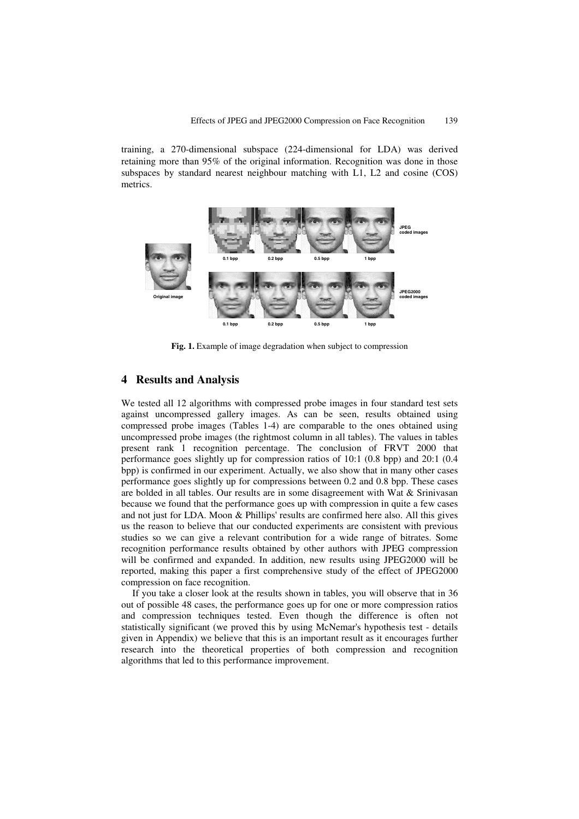training, a 270-dimensional subspace (224-dimensional for LDA) was derived retaining more than 95% of the original information. Recognition was done in those subspaces by standard nearest neighbour matching with L1, L2 and cosine (COS) metrics.



**Fig. 1.** Example of image degradation when subject to compression

# **4 Results and Analysis**

We tested all 12 algorithms with compressed probe images in four standard test sets against uncompressed gallery images. As can be seen, results obtained using compressed probe images (Tables 1-4) are comparable to the ones obtained using uncompressed probe images (the rightmost column in all tables). The values in tables present rank 1 recognition percentage. The conclusion of FRVT 2000 that performance goes slightly up for compression ratios of 10:1 (0.8 bpp) and 20:1 (0.4 bpp) is confirmed in our experiment. Actually, we also show that in many other cases performance goes slightly up for compressions between 0.2 and 0.8 bpp. These cases are bolded in all tables. Our results are in some disagreement with Wat & Srinivasan because we found that the performance goes up with compression in quite a few cases and not just for LDA. Moon & Phillips' results are confirmed here also. All this gives us the reason to believe that our conducted experiments are consistent with previous studies so we can give a relevant contribution for a wide range of bitrates. Some recognition performance results obtained by other authors with JPEG compression will be confirmed and expanded. In addition, new results using JPEG2000 will be reported, making this paper a first comprehensive study of the effect of JPEG2000 compression on face recognition.

If you take a closer look at the results shown in tables, you will observe that in 36 out of possible 48 cases, the performance goes up for one or more compression ratios and compression techniques tested. Even though the difference is often not statistically significant (we proved this by using McNemar's hypothesis test - details given in Appendix) we believe that this is an important result as it encourages further research into the theoretical properties of both compression and recognition algorithms that led to this performance improvement.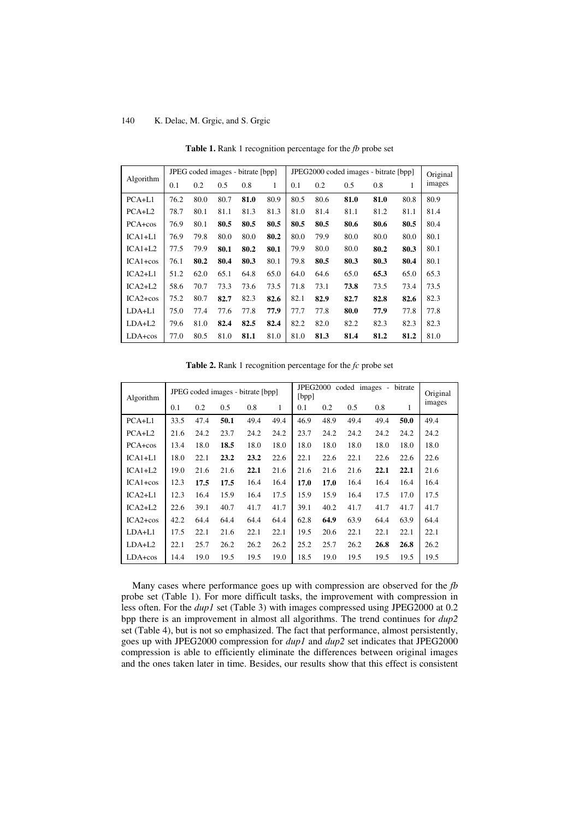|              |      |      |      | JPEG coded images - bitrate [bpp] |      | JPEG2000 coded images - bitrate [bpp] |      |      |      |      | Original |
|--------------|------|------|------|-----------------------------------|------|---------------------------------------|------|------|------|------|----------|
| Algorithm    | 0.1  | 0.2  | 0.5  | 0.8                               | 1    | 0.1                                   | 0.2  | 0.5  | 0.8  | 1    | images   |
| $PCA+L1$     | 76.2 | 80.0 | 80.7 | 81.0                              | 80.9 | 80.5                                  | 80.6 | 81.0 | 81.0 | 80.8 | 80.9     |
| $PCA+L2$     | 78.7 | 80.1 | 81.1 | 81.3                              | 81.3 | 81.0                                  | 81.4 | 81.1 | 81.2 | 81.1 | 81.4     |
| $PCA + cos$  | 76.9 | 80.1 | 80.5 | 80.5                              | 80.5 | 80.5                                  | 80.5 | 80.6 | 80.6 | 80.5 | 80.4     |
| $ICA1+L1$    | 76.9 | 79.8 | 80.0 | 80.0                              | 80.2 | 80.0                                  | 79.9 | 80.0 | 80.0 | 80.0 | 80.1     |
| $ICA1+L2$    | 77.5 | 79.9 | 80.1 | 80.2                              | 80.1 | 79.9                                  | 80.0 | 80.0 | 80.2 | 80.3 | 80.1     |
| $ICA1 + cos$ | 76.1 | 80.2 | 80.4 | 80.3                              | 80.1 | 79.8                                  | 80.5 | 80.3 | 80.3 | 80.4 | 80.1     |
| $ICA2+L1$    | 51.2 | 62.0 | 65.1 | 64.8                              | 65.0 | 64.0                                  | 64.6 | 65.0 | 65.3 | 65.0 | 65.3     |
| $ICA2+L2$    | 58.6 | 70.7 | 73.3 | 73.6                              | 73.5 | 71.8                                  | 73.1 | 73.8 | 73.5 | 73.4 | 73.5     |
| $ICA2 + cos$ | 75.2 | 80.7 | 82.7 | 82.3                              | 82.6 | 82.1                                  | 82.9 | 82.7 | 82.8 | 82.6 | 82.3     |
| $LDA+L1$     | 75.0 | 77.4 | 77.6 | 77.8                              | 77.9 | 77.7                                  | 77.8 | 80.0 | 77.9 | 77.8 | 77.8     |
| $LDA+L2$     | 79.6 | 81.0 | 82.4 | 82.5                              | 82.4 | 82.2                                  | 82.0 | 82.2 | 82.3 | 82.3 | 82.3     |
| $LDA + cos$  | 77.0 | 80.5 | 81.0 | 81.1                              | 81.0 | 81.0                                  | 81.3 | 81.4 | 81.2 | 81.2 | 81.0     |

**Table 1.** Rank 1 recognition percentage for the *fb* probe set

**Table 2.** Rank 1 recognition percentage for the *fc* probe set

| Algorithm    |      |      |      | JPEG coded images - bitrate [bpp] |      | JPEG2000 coded images - bitrate<br>[bpp] | Original |      |      |      |        |
|--------------|------|------|------|-----------------------------------|------|------------------------------------------|----------|------|------|------|--------|
|              | 0.1  | 0.2  | 0.5  | 0.8                               | 1    | 0.1                                      | 0.2      | 0.5  | 0.8  | 1    | images |
| $PCA+L1$     | 33.5 | 47.4 | 50.1 | 49.4                              | 49.4 | 46.9                                     | 48.9     | 49.4 | 49.4 | 50.0 | 49.4   |
| $PCA+L2$     | 21.6 | 24.2 | 23.7 | 24.2                              | 24.2 | 23.7                                     | 24.2     | 24.2 | 24.2 | 24.2 | 24.2   |
| $PCA + cos$  | 13.4 | 18.0 | 18.5 | 18.0                              | 18.0 | 18.0                                     | 18.0     | 18.0 | 18.0 | 18.0 | 18.0   |
| $ICA1+L1$    | 18.0 | 22.1 | 23.2 | 23.2                              | 22.6 | 22.1                                     | 22.6     | 22.1 | 22.6 | 22.6 | 22.6   |
| $ICA1+L2$    | 19.0 | 21.6 | 21.6 | 22.1                              | 21.6 | 21.6                                     | 21.6     | 21.6 | 22.1 | 22.1 | 21.6   |
| $ICA1 + cos$ | 12.3 | 17.5 | 17.5 | 16.4                              | 16.4 | 17.0                                     | 17.0     | 16.4 | 16.4 | 16.4 | 16.4   |
| $ICA2+L1$    | 12.3 | 16.4 | 15.9 | 16.4                              | 17.5 | 15.9                                     | 15.9     | 16.4 | 17.5 | 17.0 | 17.5   |
| $ICA2+L2$    | 22.6 | 39.1 | 40.7 | 41.7                              | 41.7 | 39.1                                     | 40.2     | 41.7 | 41.7 | 41.7 | 41.7   |
| $ICA2 + cos$ | 42.2 | 64.4 | 64.4 | 64.4                              | 64.4 | 62.8                                     | 64.9     | 63.9 | 64.4 | 63.9 | 64.4   |
| $LDA+L1$     | 17.5 | 22.1 | 21.6 | 22.1                              | 22.1 | 19.5                                     | 20.6     | 22.1 | 22.1 | 22.1 | 22.1   |
| $LDA+L2$     | 22.1 | 25.7 | 26.2 | 26.2                              | 26.2 | 25.2                                     | 25.7     | 26.2 | 26.8 | 26.8 | 26.2   |
| $LDA + cos$  | 14.4 | 19.0 | 19.5 | 19.5                              | 19.0 | 18.5                                     | 19.0     | 19.5 | 19.5 | 19.5 | 19.5   |

Many cases where performance goes up with compression are observed for the *fb* probe set (Table 1). For more difficult tasks, the improvement with compression in less often. For the *dup1* set (Table 3) with images compressed using JPEG2000 at 0.2 bpp there is an improvement in almost all algorithms. The trend continues for *dup2* set (Table 4), but is not so emphasized. The fact that performance, almost persistently, goes up with JPEG2000 compression for *dup1* and *dup2* set indicates that JPEG2000 compression is able to efficiently eliminate the differences between original images and the ones taken later in time. Besides, our results show that this effect is consistent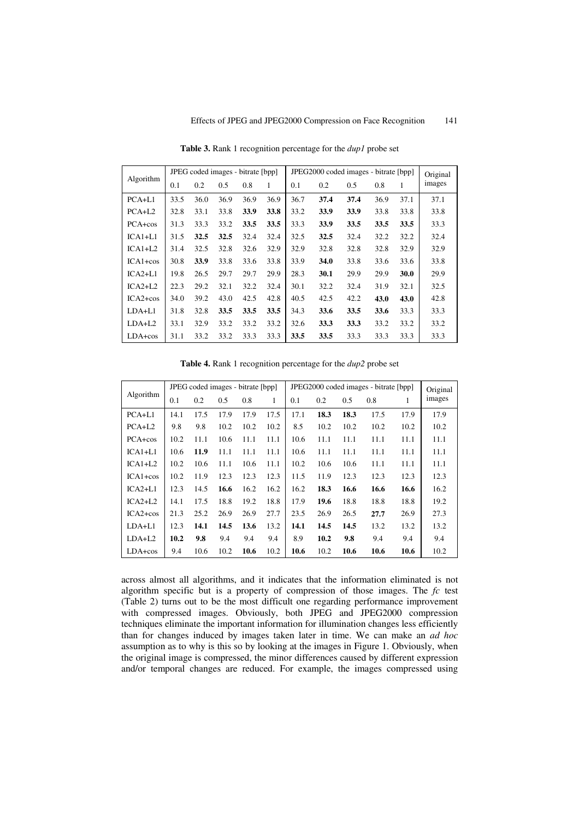|              |      | JPEG coded images - bitrate [bpp] |      |      |      | JPEG2000 coded images - bitrate [bpp] |      |      |      |      | Original |
|--------------|------|-----------------------------------|------|------|------|---------------------------------------|------|------|------|------|----------|
| Algorithm    | 0.1  | 0.2                               | 0.5  | 0.8  | 1    | 0.1                                   | 0.2  | 0.5  | 0.8  | 1    | images   |
| $PCA+L1$     | 33.5 | 36.0                              | 36.9 | 36.9 | 36.9 | 36.7                                  | 37.4 | 37.4 | 36.9 | 37.1 | 37.1     |
| $PCA+L2$     | 32.8 | 33.1                              | 33.8 | 33.9 | 33.8 | 33.2                                  | 33.9 | 33.9 | 33.8 | 33.8 | 33.8     |
| $PCA + cos$  | 31.3 | 33.3                              | 33.2 | 33.5 | 33.5 | 33.3                                  | 33.9 | 33.5 | 33.5 | 33.5 | 33.3     |
| $ICA1+L1$    | 31.5 | 32.5                              | 32.5 | 32.4 | 32.4 | 32.5                                  | 32.5 | 32.4 | 32.2 | 32.2 | 32.4     |
| $ICA1+L2$    | 31.4 | 32.5                              | 32.8 | 32.6 | 32.9 | 32.9                                  | 32.8 | 32.8 | 32.8 | 32.9 | 32.9     |
| $ICA1 + cos$ | 30.8 | 33.9                              | 33.8 | 33.6 | 33.8 | 33.9                                  | 34.0 | 33.8 | 33.6 | 33.6 | 33.8     |
| $ICA2+L1$    | 19.8 | 26.5                              | 29.7 | 29.7 | 29.9 | 28.3                                  | 30.1 | 29.9 | 29.9 | 30.0 | 29.9     |
| $ICA2+L2$    | 22.3 | 29.2                              | 32.1 | 32.2 | 32.4 | 30.1                                  | 32.2 | 32.4 | 31.9 | 32.1 | 32.5     |
| $ICA2 + cos$ | 34.0 | 39.2                              | 43.0 | 42.5 | 42.8 | 40.5                                  | 42.5 | 42.2 | 43.0 | 43.0 | 42.8     |
| $LDA+L1$     | 31.8 | 32.8                              | 33.5 | 33.5 | 33.5 | 34.3                                  | 33.6 | 33.5 | 33.6 | 33.3 | 33.3     |
| $LDA+L2$     | 33.1 | 32.9                              | 33.2 | 33.2 | 33.2 | 32.6                                  | 33.3 | 33.3 | 33.2 | 33.2 | 33.2     |
| LDA+cos      | 31.1 | 33.2                              | 33.2 | 33.3 | 33.3 | 33.5                                  | 33.5 | 33.3 | 33.3 | 33.3 | 33.3     |

**Table 3.** Rank 1 recognition percentage for the *dup1* probe set

**Table 4.** Rank 1 recognition percentage for the *dup2* probe set

| Algorithm          |      | JPEG coded images - bitrate [bpp] |      |      |      | JPEG2000 coded images - bitrate [bpp] |      |      |      |      | Original |
|--------------------|------|-----------------------------------|------|------|------|---------------------------------------|------|------|------|------|----------|
|                    | 0.1  | 0.2                               | 0.5  | 0.8  | 1    | 0.1                                   | 0.2  | 0.5  | 0.8  | 1    | images   |
| $PCA+L1$           | 14.1 | 17.5                              | 17.9 | 17.9 | 17.5 | 17.1                                  | 18.3 | 18.3 | 17.5 | 17.9 | 17.9     |
| PCA+L <sub>2</sub> | 9.8  | 9.8                               | 10.2 | 10.2 | 10.2 | 8.5                                   | 10.2 | 10.2 | 10.2 | 10.2 | 10.2     |
| $PCA + cos$        | 10.2 | 11.1                              | 10.6 | 11.1 | 11.1 | 10.6                                  | 11.1 | 11.1 | 11.1 | 11.1 | 11.1     |
| $ICA1+L1$          | 10.6 | 11.9                              | 11.1 | 11.1 | 11.1 | 10.6                                  | 11.1 | 11.1 | 11.1 | 11.1 | 11.1     |
| $ICA1+L2$          | 10.2 | 10.6                              | 11.1 | 10.6 | 11.1 | 10.2                                  | 10.6 | 10.6 | 11.1 | 11.1 | 11.1     |
| $ICA1 + \cos$      | 10.2 | 11.9                              | 12.3 | 12.3 | 12.3 | 11.5                                  | 11.9 | 12.3 | 12.3 | 12.3 | 12.3     |
| $ICA2+L1$          | 12.3 | 14.5                              | 16.6 | 16.2 | 16.2 | 16.2                                  | 18.3 | 16.6 | 16.6 | 16.6 | 16.2     |
| $ICA2+I.2$         | 14.1 | 17.5                              | 18.8 | 19.2 | 18.8 | 17.9                                  | 19.6 | 18.8 | 18.8 | 18.8 | 19.2     |
| $ICA2 + cos$       | 21.3 | 25.2                              | 26.9 | 26.9 | 27.7 | 23.5                                  | 26.9 | 26.5 | 27.7 | 26.9 | 27.3     |
| $LDA+L1$           | 12.3 | 14.1                              | 14.5 | 13.6 | 13.2 | 14.1                                  | 14.5 | 14.5 | 13.2 | 13.2 | 13.2     |
| $LDA+L2$           | 10.2 | 9.8                               | 9.4  | 9.4  | 9.4  | 8.9                                   | 10.2 | 9.8  | 9.4  | 9.4  | 9.4      |
| $LDA + cos$        | 9.4  | 10.6                              | 10.2 | 10.6 | 10.2 | 10.6                                  | 10.2 | 10.6 | 10.6 | 10.6 | 10.2     |

across almost all algorithms, and it indicates that the information eliminated is not algorithm specific but is a property of compression of those images. The *fc* test (Table 2) turns out to be the most difficult one regarding performance improvement with compressed images. Obviously, both JPEG and JPEG2000 compression techniques eliminate the important information for illumination changes less efficiently than for changes induced by images taken later in time. We can make an *ad hoc* assumption as to why is this so by looking at the images in Figure 1. Obviously, when the original image is compressed, the minor differences caused by different expression and/or temporal changes are reduced. For example, the images compressed using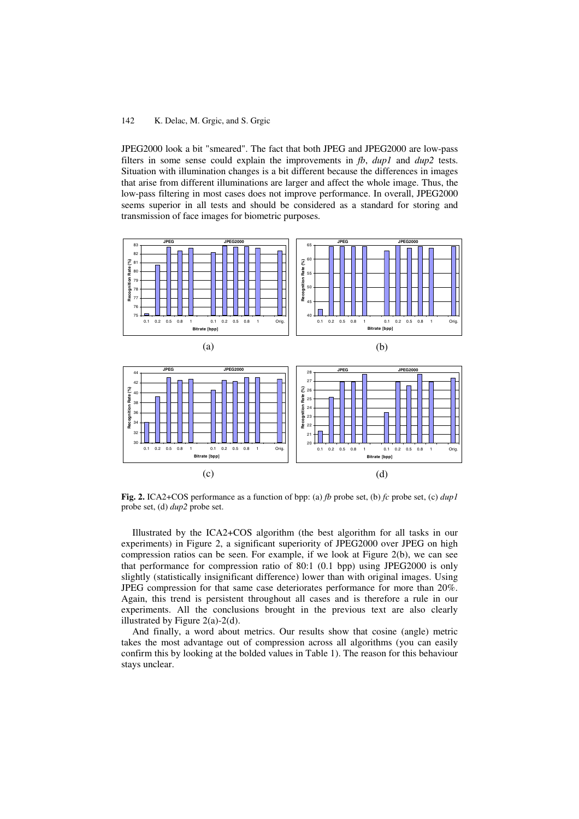JPEG2000 look a bit "smeared". The fact that both JPEG and JPEG2000 are low-pass filters in some sense could explain the improvements in *fb*, *dup1* and *dup2* tests. Situation with illumination changes is a bit different because the differences in images that arise from different illuminations are larger and affect the whole image. Thus, the low-pass filtering in most cases does not improve performance. In overall, JPEG2000 seems superior in all tests and should be considered as a standard for storing and transmission of face images for biometric purposes.



**Fig. 2.** ICA2+COS performance as a function of bpp: (a) *fb* probe set, (b) *fc* probe set, (c) *dup1* probe set, (d) *dup2* probe set.

Illustrated by the ICA2+COS algorithm (the best algorithm for all tasks in our experiments) in Figure 2, a significant superiority of JPEG2000 over JPEG on high compression ratios can be seen. For example, if we look at Figure 2(b), we can see that performance for compression ratio of 80:1 (0.1 bpp) using JPEG2000 is only slightly (statistically insignificant difference) lower than with original images. Using JPEG compression for that same case deteriorates performance for more than 20%. Again, this trend is persistent throughout all cases and is therefore a rule in our experiments. All the conclusions brought in the previous text are also clearly illustrated by Figure 2(a)-2(d).

And finally, a word about metrics. Our results show that cosine (angle) metric takes the most advantage out of compression across all algorithms (you can easily confirm this by looking at the bolded values in Table 1). The reason for this behaviour stays unclear.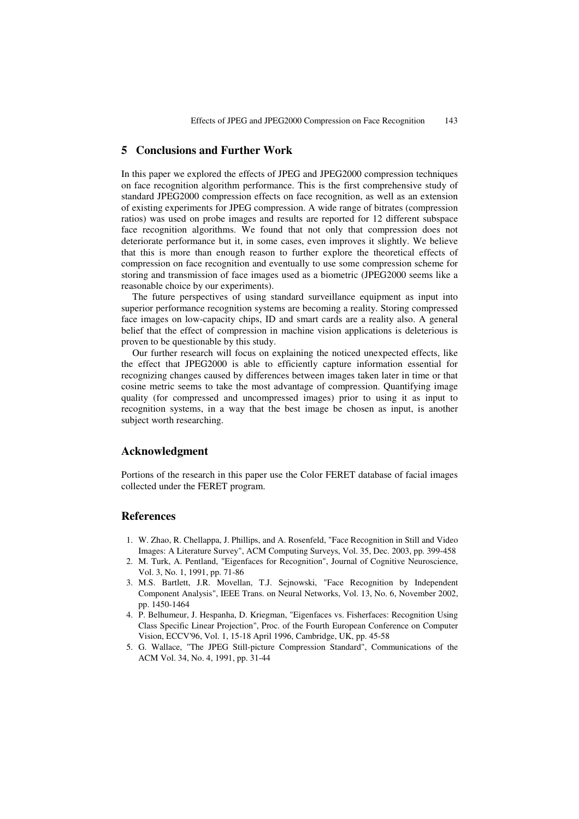### **5 Conclusions and Further Work**

In this paper we explored the effects of JPEG and JPEG2000 compression techniques on face recognition algorithm performance. This is the first comprehensive study of standard JPEG2000 compression effects on face recognition, as well as an extension of existing experiments for JPEG compression. A wide range of bitrates (compression ratios) was used on probe images and results are reported for 12 different subspace face recognition algorithms. We found that not only that compression does not deteriorate performance but it, in some cases, even improves it slightly. We believe that this is more than enough reason to further explore the theoretical effects of compression on face recognition and eventually to use some compression scheme for storing and transmission of face images used as a biometric (JPEG2000 seems like a reasonable choice by our experiments).

The future perspectives of using standard surveillance equipment as input into superior performance recognition systems are becoming a reality. Storing compressed face images on low-capacity chips, ID and smart cards are a reality also. A general belief that the effect of compression in machine vision applications is deleterious is proven to be questionable by this study.

Our further research will focus on explaining the noticed unexpected effects, like the effect that JPEG2000 is able to efficiently capture information essential for recognizing changes caused by differences between images taken later in time or that cosine metric seems to take the most advantage of compression. Quantifying image quality (for compressed and uncompressed images) prior to using it as input to recognition systems, in a way that the best image be chosen as input, is another subject worth researching.

# **Acknowledgment**

Portions of the research in this paper use the Color FERET database of facial images collected under the FERET program.

# **References**

- 1. W. Zhao, R. Chellappa, J. Phillips, and A. Rosenfeld, "Face Recognition in Still and Video Images: A Literature Survey", ACM Computing Surveys, Vol. 35, Dec. 2003, pp. 399-458
- 2. M. Turk, A. Pentland, "Eigenfaces for Recognition", Journal of Cognitive Neuroscience, Vol. 3, No. 1, 1991, pp. 71-86
- 3. M.S. Bartlett, J.R. Movellan, T.J. Sejnowski, "Face Recognition by Independent Component Analysis", IEEE Trans. on Neural Networks, Vol. 13, No. 6, November 2002, pp. 1450-1464
- 4. P. Belhumeur, J. Hespanha, D. Kriegman, "Eigenfaces vs. Fisherfaces: Recognition Using Class Specific Linear Projection", Proc. of the Fourth European Conference on Computer Vision, ECCV'96, Vol. 1, 15-18 April 1996, Cambridge, UK, pp. 45-58
- 5. G. Wallace, "The JPEG Still-picture Compression Standard", Communications of the ACM Vol. 34, No. 4, 1991, pp. 31-44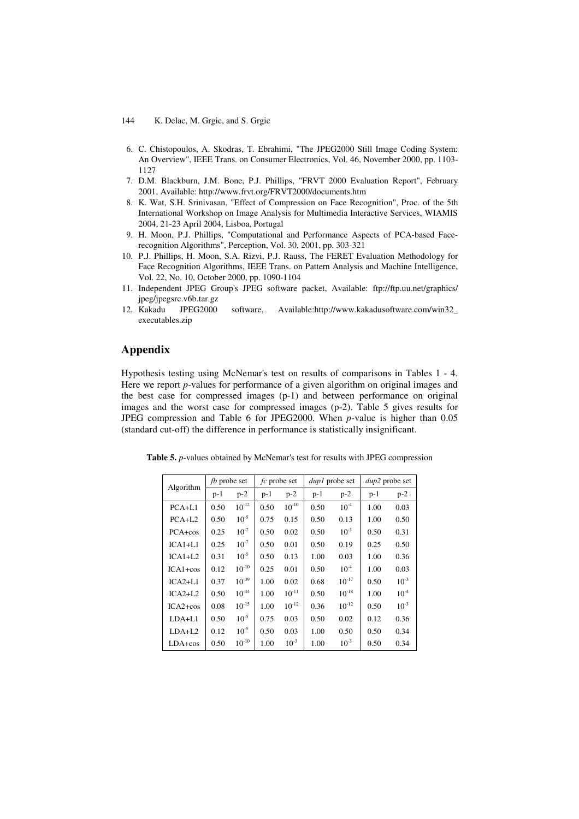- 6. C. Chistopoulos, A. Skodras, T. Ebrahimi, "The JPEG2000 Still Image Coding System: An Overview", IEEE Trans. on Consumer Electronics, Vol. 46, November 2000, pp. 1103- 1127
- 7. D.M. Blackburn, J.M. Bone, P.J. Phillips, "FRVT 2000 Evaluation Report", February 2001, Available: http://www.frvt.org/FRVT2000/documents.htm
- 8. K. Wat, S.H. Srinivasan, "Effect of Compression on Face Recognition", Proc. of the 5th International Workshop on Image Analysis for Multimedia Interactive Services, WIAMIS 2004, 21-23 April 2004, Lisboa, Portugal
- 9. H. Moon, P.J. Phillips, "Computational and Performance Aspects of PCA-based Facerecognition Algorithms", Perception, Vol. 30, 2001, pp. 303-321
- 10. P.J. Phillips, H. Moon, S.A. Rizvi, P.J. Rauss, The FERET Evaluation Methodology for Face Recognition Algorithms, IEEE Trans. on Pattern Analysis and Machine Intelligence, Vol. 22, No. 10, October 2000, pp. 1090-1104
- 11. Independent JPEG Group's JPEG software packet, Available: ftp://ftp.uu.net/graphics/ jpeg/jpegsrc.v6b.tar.gz
- 12. Kakadu JPEG2000 software, Available:http://www.kakadusoftware.com/win32\_ executables.zip

# **Appendix**

Hypothesis testing using McNemar's test on results of comparisons in Tables 1 - 4. Here we report *p*-values for performance of a given algorithm on original images and the best case for compressed images (p-1) and between performance on original images and the worst case for compressed images (p-2). Table 5 gives results for JPEG compression and Table 6 for JPEG2000. When *p*-value is higher than 0.05 (standard cut-off) the difference in performance is statistically insignificant.

|               | <i>fb</i> probe set |                   | fc probe set |            |       | <i>dup1</i> probe set | $dup2$ probe set |           |
|---------------|---------------------|-------------------|--------------|------------|-------|-----------------------|------------------|-----------|
| Algorithm     | $p-1$               | $p-2$             | $p-1$        | $p-2$      | $p-1$ | $p-2$                 | $p-1$            | $p-2$     |
| $PCA+L1$      | 0.50                | $10^{-12}$        | 0.50         | $10^{-10}$ | 0.50  | $10^{-4}$             | 1.00             | 0.03      |
| $PCA+L2$      | 0.50                | $10^{-5}$         | 0.75         | 0.15       | 0.50  | 0.13                  | 1.00             | 0.50      |
| $PCA + cos$   | 0.25                | $10^{-7}$         | 0.50         | 0.02       | 0.50  | $10^{-3}$             | 0.50             | 0.31      |
| $ICA1+L1$     | 0.25                | $10^{-7}$         | 0.50         | 0.01       | 0.50  | 0.19                  | 0.25             | 0.50      |
| $ICA1+L2$     | 0.31                | $10^{-5}$         | 0.50         | 0.13       | 1.00  | 0.03                  | 1.00             | 0.36      |
| $ICA1 + \cos$ | 0.12                | $10^{\mbox{-}10}$ | 0.25         | 0.01       | 0.50  | $10^4$                | 1.00             | 0.03      |
| $ICA2+I.1$    | 0.37                | $10^{-39}$        | 1.00         | 0.02       | 0.68  | $10^{-17}$            | 0.50             | $10^{-3}$ |
| $ICA2+L2$     | 0.50                | $10^{-44}$        | 1.00         | $10^{-11}$ | 0.50  | $10^{-18}$            | 1.00             | $10^{4}$  |
| $ICA2 + cos$  | 0.08                | $10^{-15}$        | 1.00         | $10^{-12}$ | 0.36  | $10^{-12}$            | 0.50             | $10^{-3}$ |
| $LDA+L1$      | 0.50                | $10^{-5}$         | 0.75         | 0.03       | 0.50  | 0.02                  | 0.12             | 0.36      |
| $LDA+L2$      | 0.12                | $10^{-5}$         | 0.50         | 0.03       | 1.00  | 0.50                  | 0.50             | 0.34      |
| $LDA + cos$   | 0.50                | $10^{-10}\,$      | 1.00         | $10^{-3}$  | 1.00  | $10^{-3}$             | 0.50             | 0.34      |

**Table 5.** *p*-values obtained by McNemar's test for results with JPEG compression